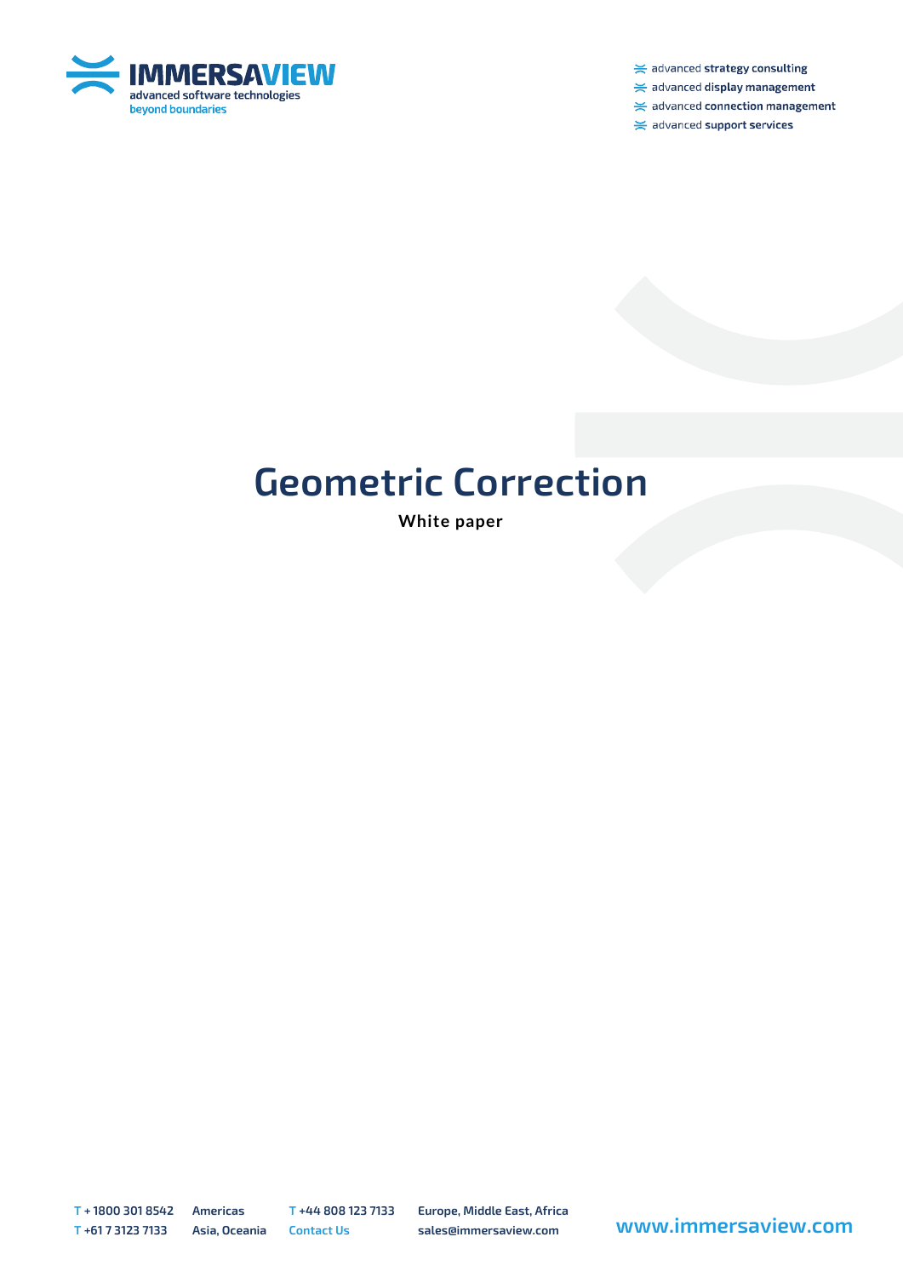

 $\ge$  advanced strategy consulting

 $\ge$  advanced display management

 $\ge$  advanced connection management

 $\ge$  advanced support services

## **Geometric Correction**

**White paper**

**T + 1800 301 8542 Americas T +44 808 123 7133 Europe, Middle East, Africa**

**<sup>T</sup> +61 7 3123 7133 Asia, Oceania Contact Us sales@immersaview.com www.immersaview.com**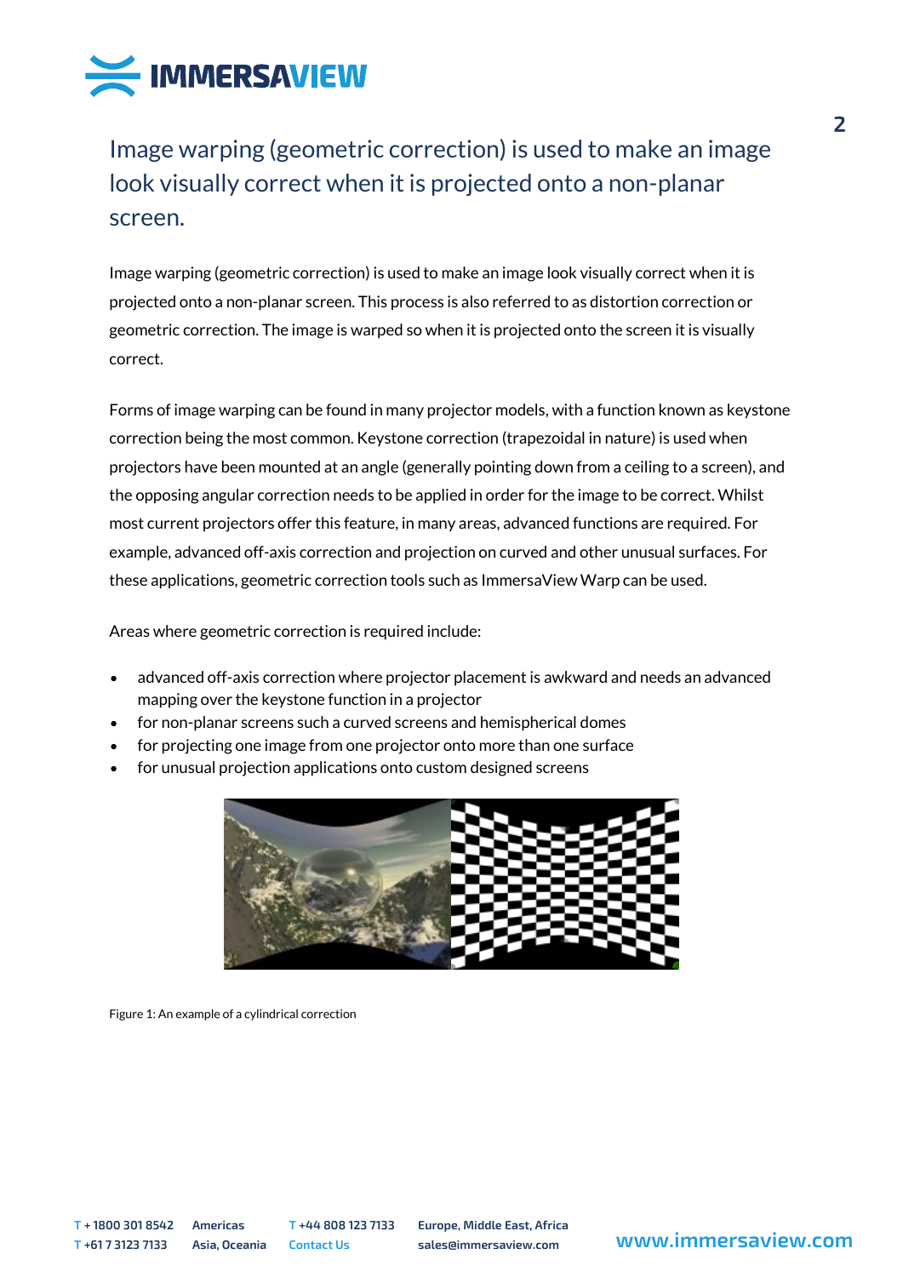

Image warping (geometric correction) is used to make an image look visually correct when it is projected onto a non-planar screen.

Image warping (geometric correction) is used to make an image look visually correct when it is projected onto a non-planar screen. This process is also referred to as distortion correction or geometric correction. The image is warped so when it is projected onto the screen it is visually correct.

Forms of image warping can be found in many projector models, with a function known as keystone correction being the most common. Keystone correction (trapezoidal in nature) is used when projectors have been mounted at an angle (generally pointing down from a ceiling to a screen), and the opposing angular correction needs to be applied in order for the image to be correct. Whilst most current projectors offer this feature, in many areas, advanced functions are required. For example, advanced off-axis correction and projection on curved and other unusual surfaces. For these applications, geometric correction tools such as ImmersaView Warp can be used.

Areas where geometric correction is required include:

- advanced off-axis correction where projector placement is awkward and needs an advanced mapping over the keystone function in a projector
- for non-planar screens such a curved screens and hemispherical domes
- for projecting one image from one projector onto more than one surface
- for unusual projection applications onto custom designed screens



Figure 1: An example of a cylindrical correction

**T + 1800 301 8542 Americas T +44 808 123 7133 Europe, Middle East, Africa**

**<sup>T</sup> +61 7 3123 7133 Asia, Oceania Contact Us sales@immersaview.com www.immersaview.com**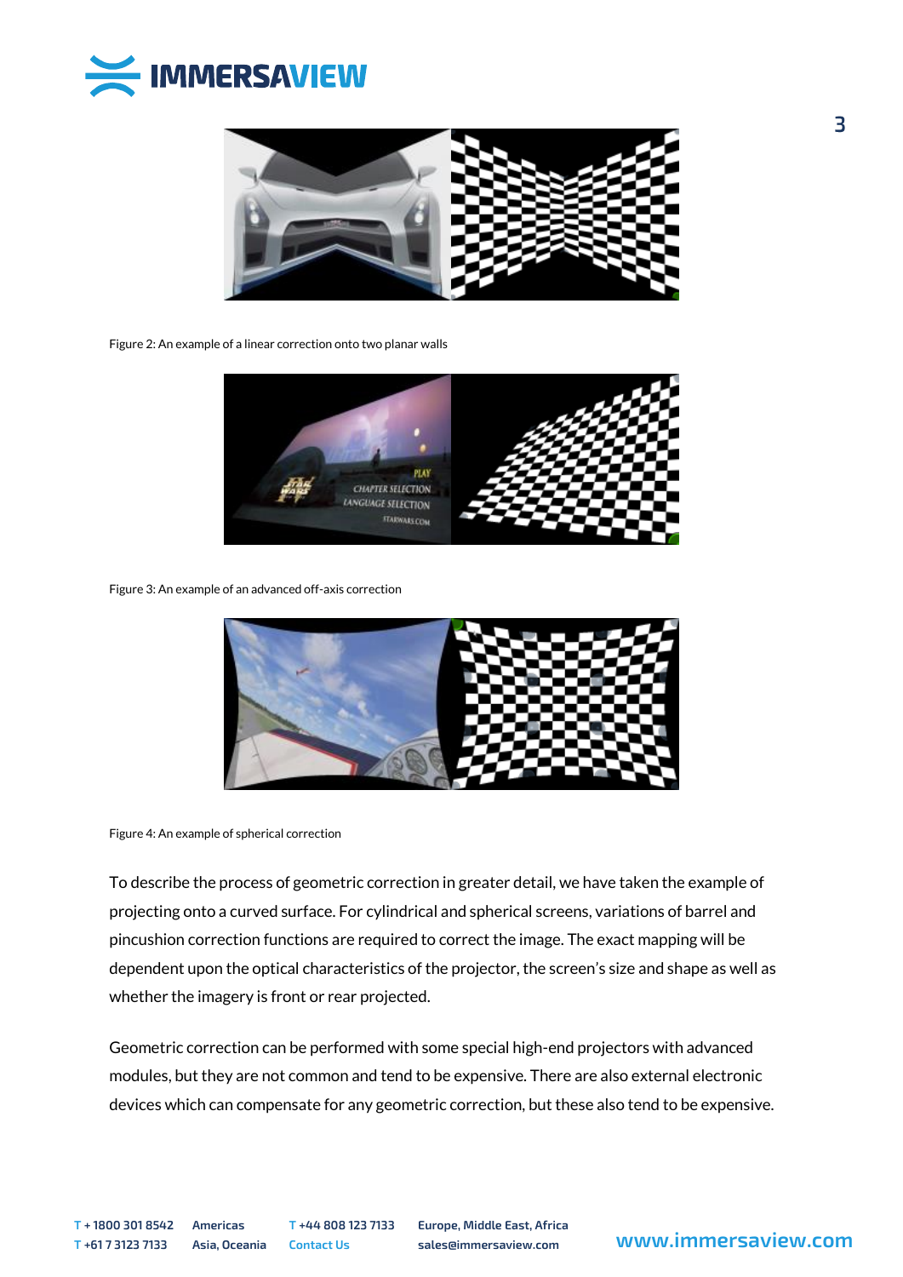



Figure 2: An example of a linear correction onto two planar walls



Figure 3: An example of an advanced off-axis correction



Figure 4: An example of spherical correction

To describe the process of geometric correction in greater detail, we have taken the example of projecting onto a curved surface. For cylindrical and spherical screens, variations of barrel and pincushion correction functions are required to correct the image. The exact mapping will be dependent upon the optical characteristics of the projector, the screen's size and shape as well as whether the imagery is front or rear projected.

Geometric correction can be performed with some special high-end projectors with advanced modules, but they are not common and tend to be expensive. There are also external electronic devices which can compensate for any geometric correction, but these also tend to be expensive.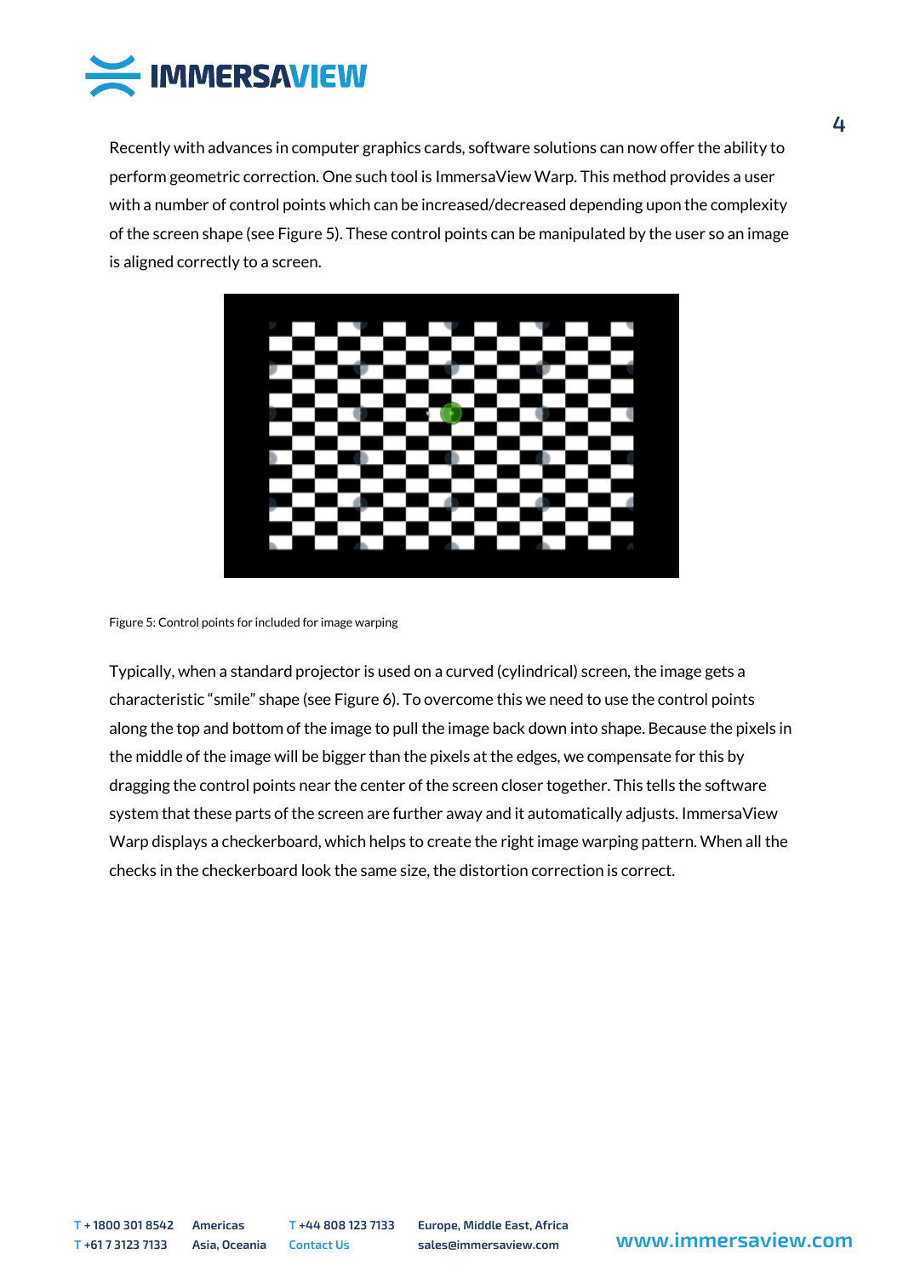

Recently with advances in computer graphics cards, software solutions can now offer the ability to perform geometric correction. One such tool is ImmersaView Warp. This method provides a user with a number of control points which can be increased/decreased depending upon the complexity of the screen shape (see Figure 5). These control points can be manipulated by the user so an image is aligned correctly to a screen.



Figure 5: Control points for included for image warping

Typically, when a standard projector is used on a curved (cylindrical) screen, the image gets a characteristic "smile" shape (see Figure 6). To overcome this we need to use the control points along the top and bottom of the image to pull the image back down into shape. Because the pixels in the middle of the image will be bigger than the pixels at the edges, we compensate for this by dragging the control points near the center of the screen closer together. This tells the software system that these parts of the screen are further away and it automatically adjusts. ImmersaView Warp displays a checkerboard, which helps to create the right image warping pattern. When all the checks in the checkerboard look the same size, the distortion correction is correct.

**T + 1800 301 8542 Americas T +44 808 123 7133 Europe, Middle East, Africa**

**<sup>T</sup> +61 7 3123 7133 Asia, Oceania Contact Us sales@immersaview.com www.immersaview.com**

 $\overline{4}$